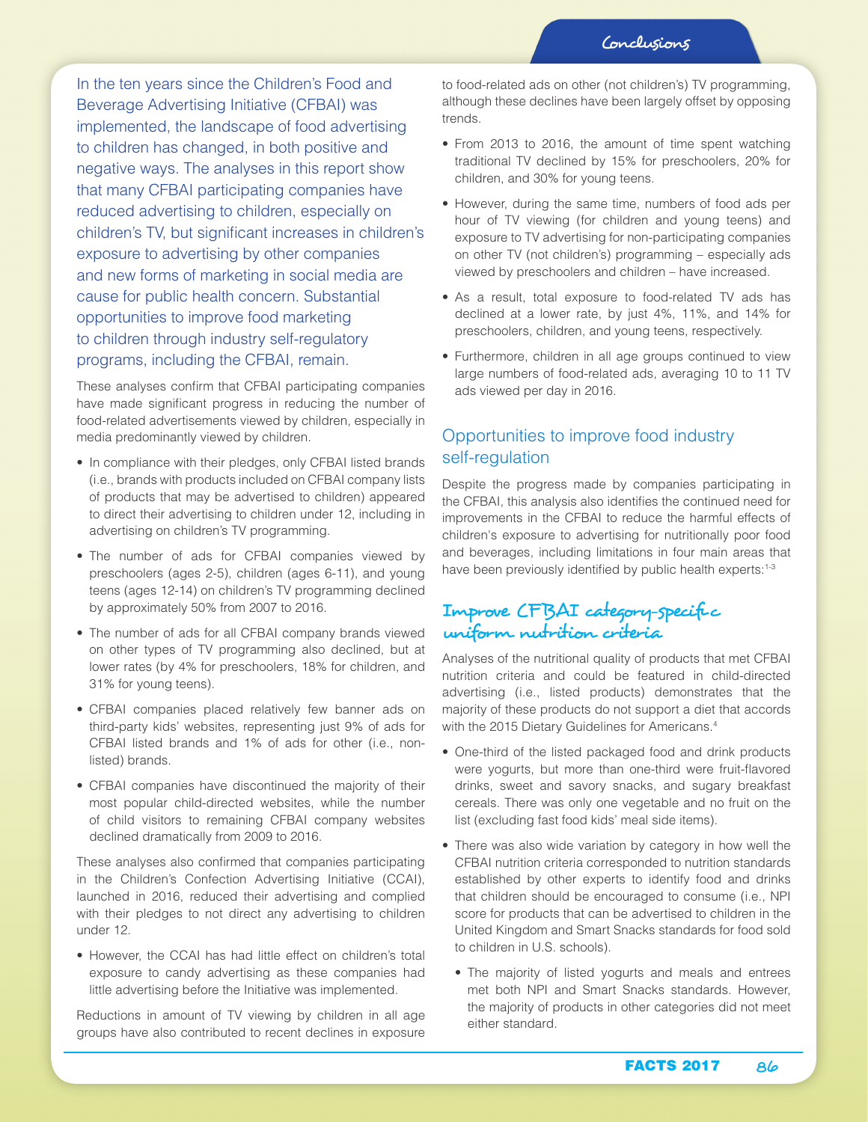In the ten years since the Children's Food and Beverage Advertising Initiative (CFBAI) was implemented, the landscape of food advertising to children has changed, in both positive and negative ways. The analyses in this report show that many CFBAI participating companies have reduced advertising to children, especially on children's TV, but significant increases in children's exposure to advertising by other companies and new forms of marketing in social media are cause for public health concern. Substantial opportunities to improve food marketing to children through industry self-regulatory programs, including the CFBAI, remain.

These analyses confirm that CFBAI participating companies have made significant progress in reducing the number of food-related advertisements viewed by children, especially in media predominantly viewed by children.

- In compliance with their pledges, only CFBAI listed brands (i.e., brands with products included on CFBAI company lists of products that may be advertised to children) appeared to direct their advertising to children under 12, including in advertising on children's TV programming.
- The number of ads for CFBAI companies viewed by preschoolers (ages 2-5), children (ages 6-11), and young teens (ages 12-14) on children's TV programming declined by approximately 50% from 2007 to 2016.
- The number of ads for all CFBAI company brands viewed on other types of TV programming also declined, but at lower rates (by 4% for preschoolers, 18% for children, and 31% for young teens).
- CFBAI companies placed relatively few banner ads on third-party kids' websites, representing just 9% of ads for CFBAI listed brands and 1% of ads for other (i.e., nonlisted) brands.
- CFBAI companies have discontinued the majority of their most popular child-directed websites, while the number of child visitors to remaining CFBAI company websites declined dramatically from 2009 to 2016.

These analyses also confirmed that companies participating in the Children's Confection Advertising Initiative (CCAI), launched in 2016, reduced their advertising and complied with their pledges to not direct any advertising to children under 12.

• However, the CCAI has had little effect on children's total exposure to candy advertising as these companies had little advertising before the Initiative was implemented.

Reductions in amount of TV viewing by children in all age groups have also contributed to recent declines in exposure

to food-related ads on other (not children's) TV programming, although these declines have been largely offset by opposing trends.

- From 2013 to 2016, the amount of time spent watching traditional TV declined by 15% for preschoolers, 20% for children, and 30% for young teens.
- However, during the same time, numbers of food ads per hour of TV viewing (for children and young teens) and exposure to TV advertising for non-participating companies on other TV (not children's) programming – especially ads viewed by preschoolers and children – have increased.
- As a result, total exposure to food-related TV ads has declined at a lower rate, by just 4%, 11%, and 14% for preschoolers, children, and young teens, respectively.
- Furthermore, children in all age groups continued to view large numbers of food-related ads, averaging 10 to 11 TV ads viewed per day in 2016.

### Opportunities to improve food industry self-regulation

Despite the progress made by companies participating in the CFBAI, this analysis also identifies the continued need for improvements in the CFBAI to reduce the harmful effects of children's exposure to advertising for nutritionally poor food and beverages, including limitations in four main areas that have been previously identified by public health experts:<sup>1-3</sup>

## Improve CFBAI category-specific uniform nutrition criteria

Analyses of the nutritional quality of products that met CFBAI nutrition criteria and could be featured in child-directed advertising (i.e., listed products) demonstrates that the majority of these products do not support a diet that accords with the 2015 Dietary Guidelines for Americans.<sup>4</sup>

- One-third of the listed packaged food and drink products were yogurts, but more than one-third were fruit-flavored drinks, sweet and savory snacks, and sugary breakfast cereals. There was only one vegetable and no fruit on the list (excluding fast food kids' meal side items).
- There was also wide variation by category in how well the CFBAI nutrition criteria corresponded to nutrition standards established by other experts to identify food and drinks that children should be encouraged to consume (i.e., NPI score for products that can be advertised to children in the United Kingdom and Smart Snacks standards for food sold to children in U.S. schools).
	- The majority of listed yogurts and meals and entrees met both NPI and Smart Snacks standards. However, the majority of products in other categories did not meet either standard.

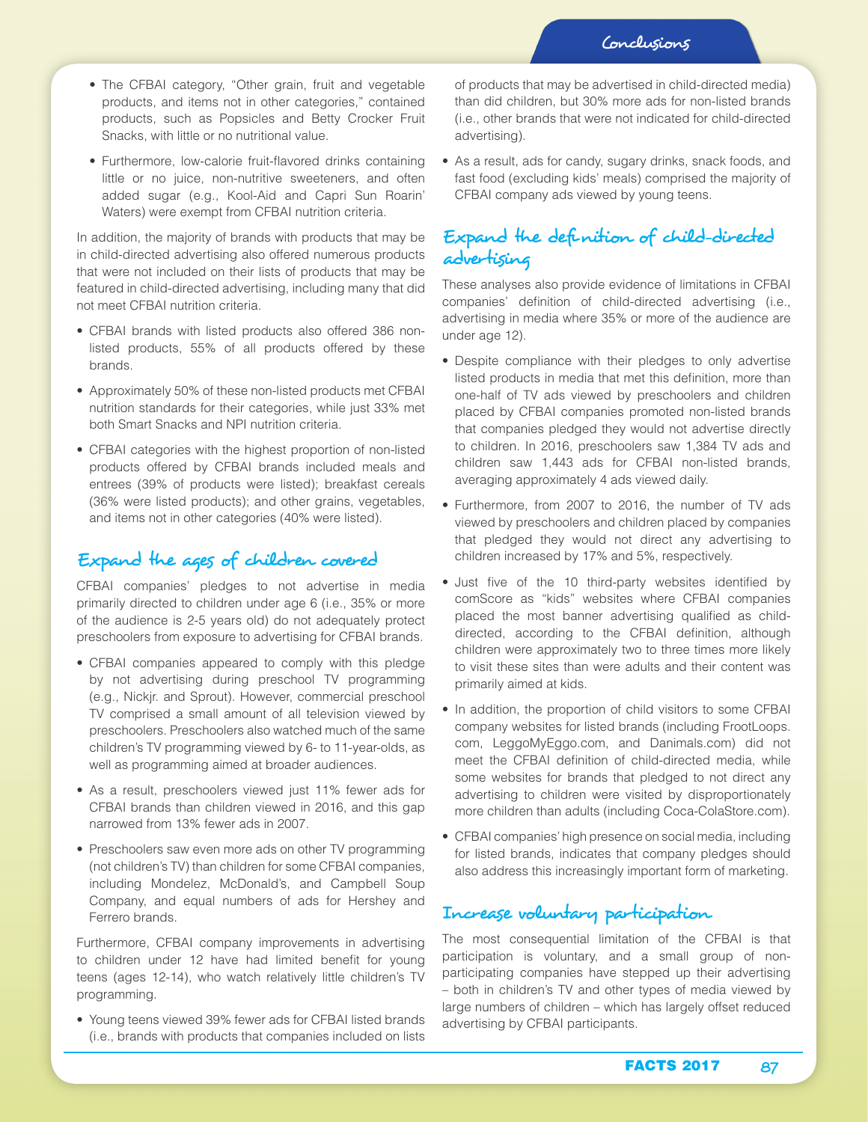- The CFBAI category, "Other grain, fruit and vegetable products, and items not in other categories," contained products, such as Popsicles and Betty Crocker Fruit Snacks, with little or no nutritional value.
- Furthermore, low-calorie fruit-flavored drinks containing little or no juice, non-nutritive sweeteners, and often added sugar (e.g., Kool-Aid and Capri Sun Roarin' Waters) were exempt from CFBAI nutrition criteria.

In addition, the majority of brands with products that may be in child-directed advertising also offered numerous products that were not included on their lists of products that may be featured in child-directed advertising, including many that did not meet CFBAI nutrition criteria.

- CFBAI brands with listed products also offered 386 nonlisted products, 55% of all products offered by these brands.
- Approximately 50% of these non-listed products met CFBAI nutrition standards for their categories, while just 33% met both Smart Snacks and NPI nutrition criteria.
- CFBAI categories with the highest proportion of non-listed products offered by CFBAI brands included meals and entrees (39% of products were listed); breakfast cereals (36% were listed products); and other grains, vegetables, and items not in other categories (40% were listed).

# Expand the ages of children covered

CFBAI companies' pledges to not advertise in media primarily directed to children under age 6 (i.e., 35% or more of the audience is 2-5 years old) do not adequately protect preschoolers from exposure to advertising for CFBAI brands.

- CFBAI companies appeared to comply with this pledge by not advertising during preschool TV programming (e.g., Nickjr. and Sprout). However, commercial preschool TV comprised a small amount of all television viewed by preschoolers. Preschoolers also watched much of the same children's TV programming viewed by 6- to 11-year-olds, as well as programming aimed at broader audiences.
- As a result, preschoolers viewed just 11% fewer ads for CFBAI brands than children viewed in 2016, and this gap narrowed from 13% fewer ads in 2007.
- Preschoolers saw even more ads on other TV programming (not children's TV) than children for some CFBAI companies, including Mondelez, McDonald's, and Campbell Soup Company, and equal numbers of ads for Hershey and Ferrero brands.

Furthermore, CFBAI company improvements in advertising to children under 12 have had limited benefit for young teens (ages 12-14), who watch relatively little children's TV programming.

• Young teens viewed 39% fewer ads for CFBAI listed brands (i.e., brands with products that companies included on lists of products that may be advertised in child-directed media) than did children, but 30% more ads for non-listed brands (i.e., other brands that were not indicated for child-directed advertising).

• As a result, ads for candy, sugary drinks, snack foods, and fast food (excluding kids' meals) comprised the majority of CFBAI company ads viewed by young teens.

## Expand the definition of child-directed advertising

These analyses also provide evidence of limitations in CFBAI companies' definition of child-directed advertising (i.e., advertising in media where 35% or more of the audience are under age 12).

- Despite compliance with their pledges to only advertise listed products in media that met this definition, more than one-half of TV ads viewed by preschoolers and children placed by CFBAI companies promoted non-listed brands that companies pledged they would not advertise directly to children. In 2016, preschoolers saw 1,384 TV ads and children saw 1,443 ads for CFBAI non-listed brands, averaging approximately 4 ads viewed daily.
- Furthermore, from 2007 to 2016, the number of TV ads viewed by preschoolers and children placed by companies that pledged they would not direct any advertising to children increased by 17% and 5%, respectively.
- Just five of the 10 third-party websites identified by comScore as "kids" websites where CFBAI companies placed the most banner advertising qualified as childdirected, according to the CFBAI definition, although children were approximately two to three times more likely to visit these sites than were adults and their content was primarily aimed at kids.
- In addition, the proportion of child visitors to some CFBAI company websites for listed brands (including FrootLoops. com, LeggoMyEggo.com, and Danimals.com) did not meet the CFBAI definition of child-directed media, while some websites for brands that pledged to not direct any advertising to children were visited by disproportionately more children than adults (including Coca-ColaStore.com).
- CFBAI companies' high presence on social media, including for listed brands, indicates that company pledges should also address this increasingly important form of marketing.

# Increase voluntary participation

The most consequential limitation of the CFBAI is that participation is voluntary, and a small group of nonparticipating companies have stepped up their advertising – both in children's TV and other types of media viewed by large numbers of children – which has largely offset reduced advertising by CFBAI participants.

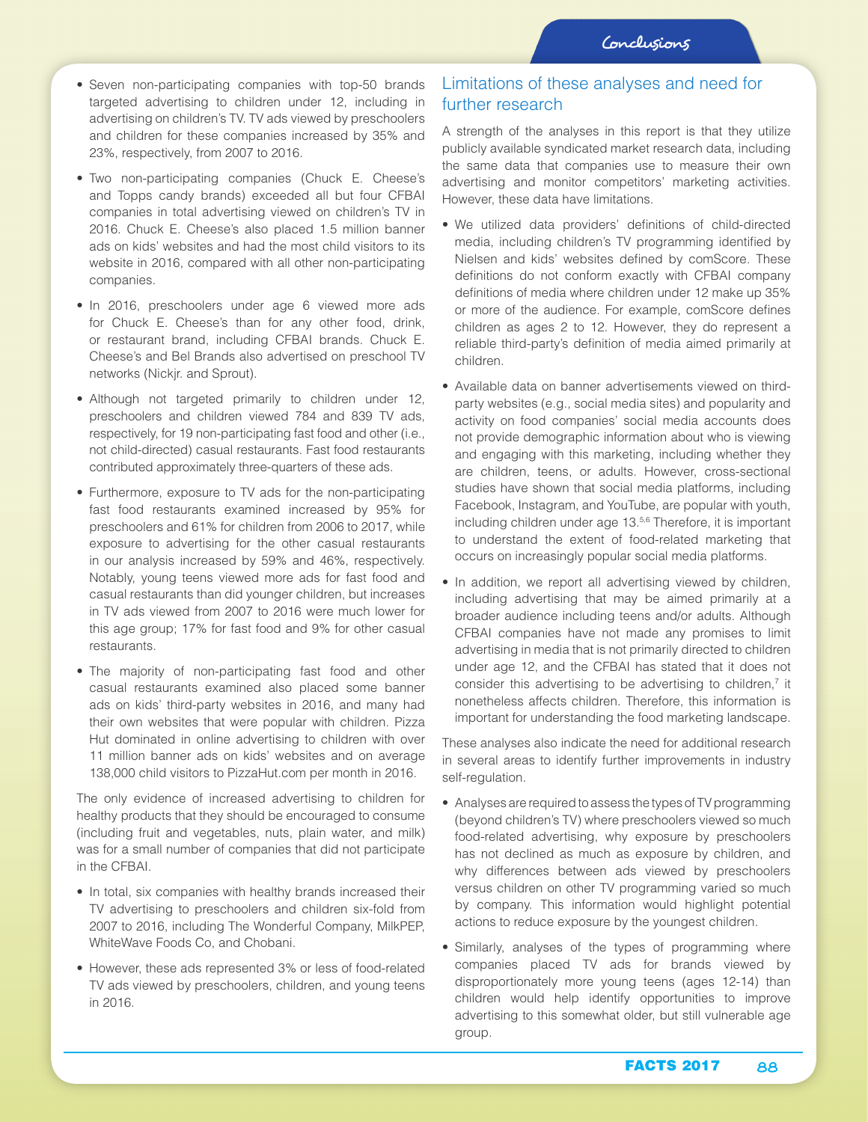- Seven non-participating companies with top-50 brands targeted advertising to children under 12, including in advertising on children's TV. TV ads viewed by preschoolers and children for these companies increased by 35% and 23%, respectively, from 2007 to 2016.
- Two non-participating companies (Chuck E. Cheese's and Topps candy brands) exceeded all but four CFBAI companies in total advertising viewed on children's TV in 2016. Chuck E. Cheese's also placed 1.5 million banner ads on kids' websites and had the most child visitors to its website in 2016, compared with all other non-participating companies.
- In 2016, preschoolers under age 6 viewed more ads for Chuck E. Cheese's than for any other food, drink, or restaurant brand, including CFBAI brands. Chuck E. Cheese's and Bel Brands also advertised on preschool TV networks (Nickjr. and Sprout).
- Although not targeted primarily to children under 12, preschoolers and children viewed 784 and 839 TV ads, respectively, for 19 non-participating fast food and other (i.e., not child-directed) casual restaurants. Fast food restaurants contributed approximately three-quarters of these ads.
- Furthermore, exposure to TV ads for the non-participating fast food restaurants examined increased by 95% for preschoolers and 61% for children from 2006 to 2017, while exposure to advertising for the other casual restaurants in our analysis increased by 59% and 46%, respectively. Notably, young teens viewed more ads for fast food and casual restaurants than did younger children, but increases in TV ads viewed from 2007 to 2016 were much lower for this age group; 17% for fast food and 9% for other casual restaurants.
- The majority of non-participating fast food and other casual restaurants examined also placed some banner ads on kids' third-party websites in 2016, and many had their own websites that were popular with children. Pizza Hut dominated in online advertising to children with over 11 million banner ads on kids' websites and on average 138,000 child visitors to PizzaHut.com per month in 2016.

The only evidence of increased advertising to children for healthy products that they should be encouraged to consume (including fruit and vegetables, nuts, plain water, and milk) was for a small number of companies that did not participate in the CFBAI.

- In total, six companies with healthy brands increased their TV advertising to preschoolers and children six-fold from 2007 to 2016, including The Wonderful Company, MilkPEP, WhiteWave Foods Co, and Chobani.
- However, these ads represented 3% or less of food-related TV ads viewed by preschoolers, children, and young teens in 2016.

### Limitations of these analyses and need for further research

A strength of the analyses in this report is that they utilize publicly available syndicated market research data, including the same data that companies use to measure their own advertising and monitor competitors' marketing activities. However, these data have limitations.

- We utilized data providers' definitions of child-directed media, including children's TV programming identified by Nielsen and kids' websites defined by comScore. These definitions do not conform exactly with CFBAI company definitions of media where children under 12 make up 35% or more of the audience. For example, comScore defines children as ages 2 to 12. However, they do represent a reliable third-party's definition of media aimed primarily at children.
- Available data on banner advertisements viewed on thirdparty websites (e.g., social media sites) and popularity and activity on food companies' social media accounts does not provide demographic information about who is viewing and engaging with this marketing, including whether they are children, teens, or adults. However, cross-sectional studies have shown that social media platforms, including Facebook, Instagram, and YouTube, are popular with youth, including children under age 13.<sup>5,6</sup> Therefore, it is important to understand the extent of food-related marketing that occurs on increasingly popular social media platforms.
- In addition, we report all advertising viewed by children, including advertising that may be aimed primarily at a broader audience including teens and/or adults. Although CFBAI companies have not made any promises to limit advertising in media that is not primarily directed to children under age 12, and the CFBAI has stated that it does not consider this advertising to be advertising to children, $<sup>7</sup>$  it</sup> nonetheless affects children. Therefore, this information is important for understanding the food marketing landscape.

These analyses also indicate the need for additional research in several areas to identify further improvements in industry self-regulation.

- Analyses are required to assess the types of TV programming (beyond children's TV) where preschoolers viewed so much food-related advertising, why exposure by preschoolers has not declined as much as exposure by children, and why differences between ads viewed by preschoolers versus children on other TV programming varied so much by company. This information would highlight potential actions to reduce exposure by the youngest children.
- Similarly, analyses of the types of programming where companies placed TV ads for brands viewed by disproportionately more young teens (ages 12-14) than children would help identify opportunities to improve advertising to this somewhat older, but still vulnerable age group.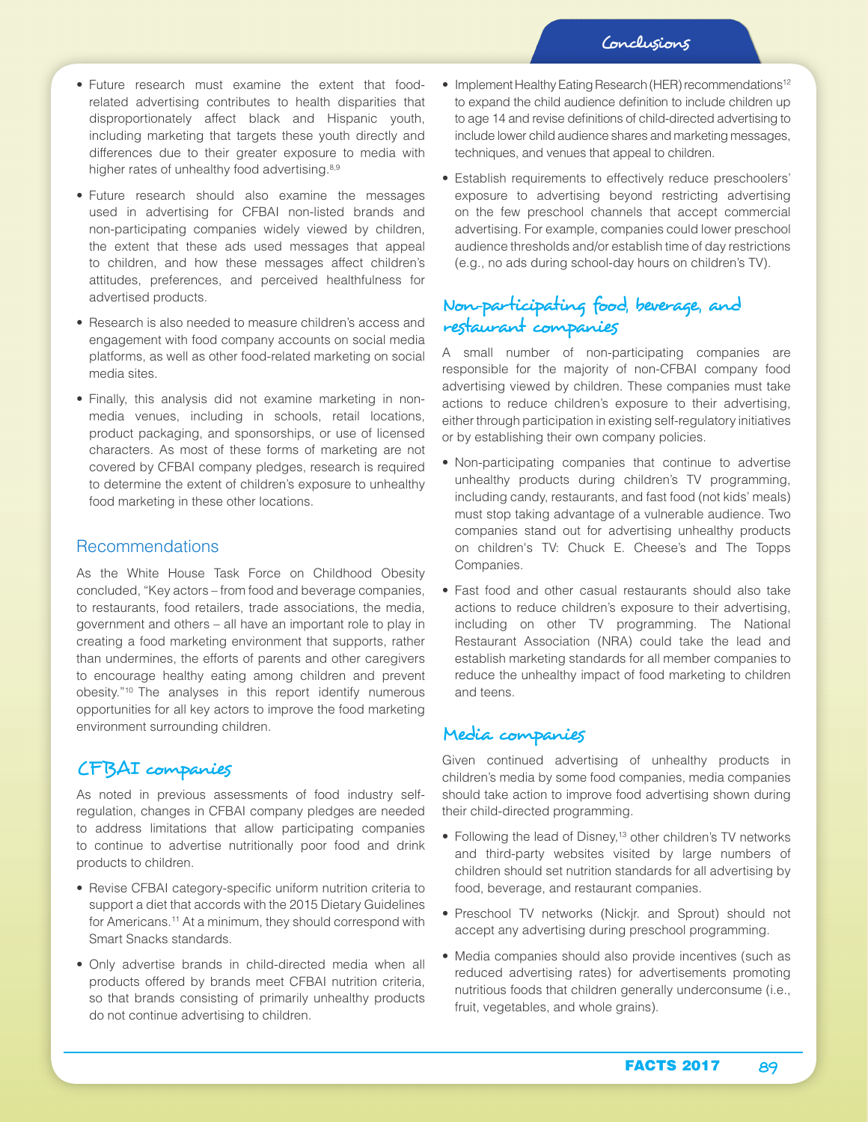- Future research must examine the extent that foodrelated advertising contributes to health disparities that disproportionately affect black and Hispanic youth, including marketing that targets these youth directly and differences due to their greater exposure to media with higher rates of unhealthy food advertising.<sup>8,9</sup>
- Future research should also examine the messages used in advertising for CFBAI non-listed brands and non-participating companies widely viewed by children, the extent that these ads used messages that appeal to children, and how these messages affect children's attitudes, preferences, and perceived healthfulness for advertised products.
- Research is also needed to measure children's access and engagement with food company accounts on social media platforms, as well as other food-related marketing on social media sites.
- Finally, this analysis did not examine marketing in nonmedia venues, including in schools, retail locations, product packaging, and sponsorships, or use of licensed characters. As most of these forms of marketing are not covered by CFBAI company pledges, research is required to determine the extent of children's exposure to unhealthy food marketing in these other locations.

#### Recommendations

As the White House Task Force on Childhood Obesity concluded, "Key actors – from food and beverage companies, to restaurants, food retailers, trade associations, the media, government and others – all have an important role to play in creating a food marketing environment that supports, rather than undermines, the efforts of parents and other caregivers to encourage healthy eating among children and prevent obesity."10 The analyses in this report identify numerous opportunities for all key actors to improve the food marketing environment surrounding children.

#### CFBAI companies

As noted in previous assessments of food industry selfregulation, changes in CFBAI company pledges are needed to address limitations that allow participating companies to continue to advertise nutritionally poor food and drink products to children.

- Revise CFBAI category-specific uniform nutrition criteria to support a diet that accords with the 2015 Dietary Guidelines for Americans.<sup>11</sup> At a minimum, they should correspond with Smart Snacks standards.
- Only advertise brands in child-directed media when all products offered by brands meet CFBAI nutrition criteria, so that brands consisting of primarily unhealthy products do not continue advertising to children.
- Implement Healthy Eating Research (HER) recommendations<sup>12</sup> to expand the child audience definition to include children up to age 14 and revise definitions of child-directed advertising to include lower child audience shares and marketing messages, techniques, and venues that appeal to children.
- Establish requirements to effectively reduce preschoolers' exposure to advertising beyond restricting advertising on the few preschool channels that accept commercial advertising. For example, companies could lower preschool audience thresholds and/or establish time of day restrictions (e.g., no ads during school-day hours on children's TV).

## Non-participating food, beverage, and restaurant companies

A small number of non-participating companies are responsible for the majority of non-CFBAI company food advertising viewed by children. These companies must take actions to reduce children's exposure to their advertising, either through participation in existing self-regulatory initiatives or by establishing their own company policies.

- Non-participating companies that continue to advertise unhealthy products during children's TV programming, including candy, restaurants, and fast food (not kids' meals) must stop taking advantage of a vulnerable audience. Two companies stand out for advertising unhealthy products on children's TV: Chuck E. Cheese's and The Topps Companies.
- Fast food and other casual restaurants should also take actions to reduce children's exposure to their advertising, including on other TV programming. The National Restaurant Association (NRA) could take the lead and establish marketing standards for all member companies to reduce the unhealthy impact of food marketing to children and teens.

### Media companies

Given continued advertising of unhealthy products in children's media by some food companies, media companies should take action to improve food advertising shown during their child-directed programming.

- Following the lead of Disney,<sup>13</sup> other children's TV networks and third-party websites visited by large numbers of children should set nutrition standards for all advertising by food, beverage, and restaurant companies.
- Preschool TV networks (Nickjr. and Sprout) should not accept any advertising during preschool programming.
- Media companies should also provide incentives (such as reduced advertising rates) for advertisements promoting nutritious foods that children generally underconsume (i.e., fruit, vegetables, and whole grains).